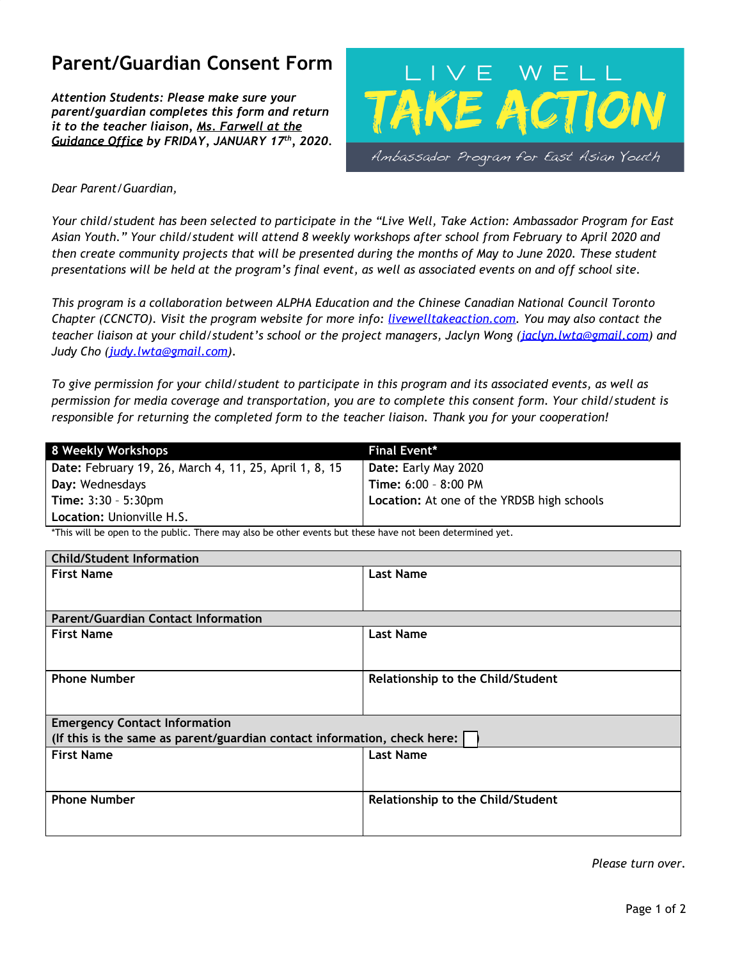# **Parent/Guardian Consent Form**

*Attention Students: Please make sure your parent/guardian completes this form and return it to the teacher liaison, Ms. Farwell at the Guidance Office by FRIDAY, JANUARY 17 th , 2020.*



# *Dear Parent/Guardian,*

Your child/student has been selected to participate in the "Live Well, Take Action: Ambassador Program for East Asian Youth." Your child/student will attend 8 weekly workshops after school from February to April 2020 and then create community projects that will be presented during the months of May to June 2020. These student presentations will be held at the program's final event, as well as associated events on and off school site.

*This program is a collaboration between ALPHA Education and the Chinese Canadian National Council Toronto Chapter (CCNCTO). Visit the program website for more info: livewelltakeaction.com. You may also contact the teacher liaison at your child/student's school or the project managers, Jaclyn Wong ([jaclyn.lwta@gmail.com\)](mailto:jaclyn.lwta@gmail.com) and Judy Cho ([judy.lwta@gmail.com\)](mailto:judy.lwta@gmail.com).*

To give permission for your child/student to participate in this program and its associated events, as well as *permission for media coverage and transportation, you are to complete this consent form. Your child/student is responsible for returning the completed form to the teacher liaison. Thank you for your cooperation!*

| 8 Weekly Workshops                                     | <b>Final Event*</b>                        |
|--------------------------------------------------------|--------------------------------------------|
| Date: February 19, 26, March 4, 11, 25, April 1, 8, 15 | <b>Date: Early May 2020</b>                |
| Day: Wednesdays                                        | Time: 6:00 - 8:00 PM                       |
| <b>Time:</b> $3:30 - 5:30$ pm                          | Location: At one of the YRDSB high schools |
| Location: Unionville H.S.                              |                                            |

\*This will be open to the public. There may also be other events but these have not been determined yet.

| <b>Child/Student Information</b>                                         |                                   |  |
|--------------------------------------------------------------------------|-----------------------------------|--|
| <b>First Name</b>                                                        | <b>Last Name</b>                  |  |
|                                                                          |                                   |  |
|                                                                          |                                   |  |
| <b>Parent/Guardian Contact Information</b>                               |                                   |  |
| <b>First Name</b>                                                        | <b>Last Name</b>                  |  |
|                                                                          |                                   |  |
|                                                                          |                                   |  |
| <b>Phone Number</b>                                                      | Relationship to the Child/Student |  |
|                                                                          |                                   |  |
|                                                                          |                                   |  |
| <b>Emergency Contact Information</b>                                     |                                   |  |
| (If this is the same as parent/guardian contact information, check here: |                                   |  |
| <b>First Name</b>                                                        | <b>Last Name</b>                  |  |
|                                                                          |                                   |  |
|                                                                          |                                   |  |
| <b>Phone Number</b>                                                      | Relationship to the Child/Student |  |
|                                                                          |                                   |  |
|                                                                          |                                   |  |

*Please turn over.*